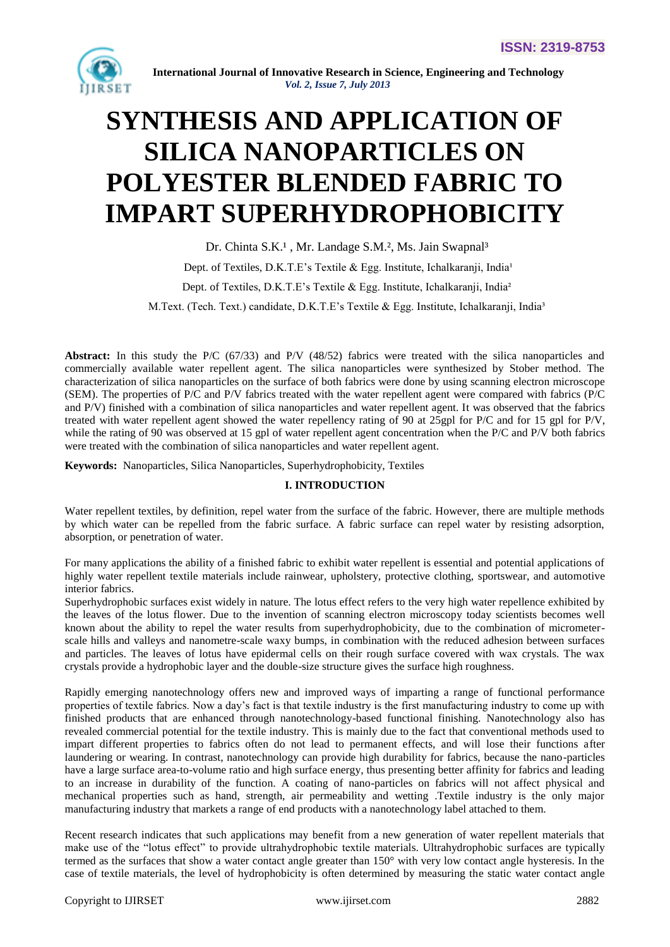

# **SYNTHESIS AND APPLICATION OF SILICA NANOPARTICLES ON POLYESTER BLENDED FABRIC TO IMPART SUPERHYDROPHOBICITY**

Dr. Chinta S.K.<sup>1</sup>, Mr. Landage S.M.<sup>2</sup>, Ms. Jain Swapnal<sup>3</sup> Dept. of Textiles, D.K.T.E's Textile & Egg. Institute, Ichalkaranji, India<sup>1</sup> Dept. of Textiles, D.K.T.E's Textile & Egg. Institute, Ichalkaranji, India² M.Text. (Tech. Text.) candidate, D.K.T.E's Textile & Egg. Institute, Ichalkaranji, India<sup>3</sup>

**Abstract:** In this study the P/C (67/33) and P/V (48/52) fabrics were treated with the silica nanoparticles and commercially available water repellent agent. The silica nanoparticles were synthesized by Stober method. The characterization of silica nanoparticles on the surface of both fabrics were done by using scanning electron microscope (SEM). The properties of P/C and P/V fabrics treated with the water repellent agent were compared with fabrics (P/C and P/V) finished with a combination of silica nanoparticles and water repellent agent. It was observed that the fabrics treated with water repellent agent showed the water repellency rating of 90 at 25gpl for P/C and for 15 gpl for P/V, while the rating of 90 was observed at 15 gpl of water repellent agent concentration when the P/C and P/V both fabrics were treated with the combination of silica nanoparticles and water repellent agent.

**Keywords:** Nanoparticles, Silica Nanoparticles, Superhydrophobicity, Textiles

## **I. INTRODUCTION**

Water repellent textiles, by definition, repel water from the surface of the fabric. However, there are multiple methods by which water can be repelled from the fabric surface. A fabric surface can repel water by resisting adsorption, absorption, or penetration of water.

For many applications the ability of a finished fabric to exhibit water repellent is essential and potential applications of highly water repellent textile materials include rainwear, upholstery, protective clothing, sportswear, and automotive interior fabrics.

Superhydrophobic surfaces exist widely in nature. The lotus effect refers to the very high water repellence exhibited by the leaves of the lotus flower. Due to the invention of scanning electron microscopy today scientists becomes well known about the ability to repel the water results from superhydrophobicity, due to the combination of micrometerscale hills and valleys and nanometre-scale waxy bumps, in combination with the reduced adhesion between surfaces and particles. The leaves of lotus have epidermal cells on their rough surface covered with wax crystals. The wax crystals provide a hydrophobic layer and the double-size structure gives the surface high roughness.

Rapidly emerging nanotechnology offers new and improved ways of imparting a range of functional performance properties of textile fabrics. Now a day's fact is that textile industry is the first manufacturing industry to come up with finished products that are enhanced through nanotechnology-based functional finishing. Nanotechnology also has revealed commercial potential for the textile industry. This is mainly due to the fact that conventional methods used to impart different properties to fabrics often do not lead to permanent effects, and will lose their functions after laundering or wearing. In contrast, nanotechnology can provide high durability for fabrics, because the nano-particles have a large surface area-to-volume ratio and high surface energy, thus presenting better affinity for fabrics and leading to an increase in durability of the function. A coating of nano-particles on fabrics will not affect physical and mechanical properties such as hand, strength, air permeability and wetting .Textile industry is the only major manufacturing industry that markets a range of end products with a nanotechnology label attached to them.

Recent research indicates that such applications may benefit from a new generation of water repellent materials that make use of the "lotus effect" to provide ultrahydrophobic textile materials. Ultrahydrophobic surfaces are typically termed as the surfaces that show a water contact angle greater than 150° with very low contact angle hysteresis. In the case of textile materials, the level of hydrophobicity is often determined by measuring the static water contact angle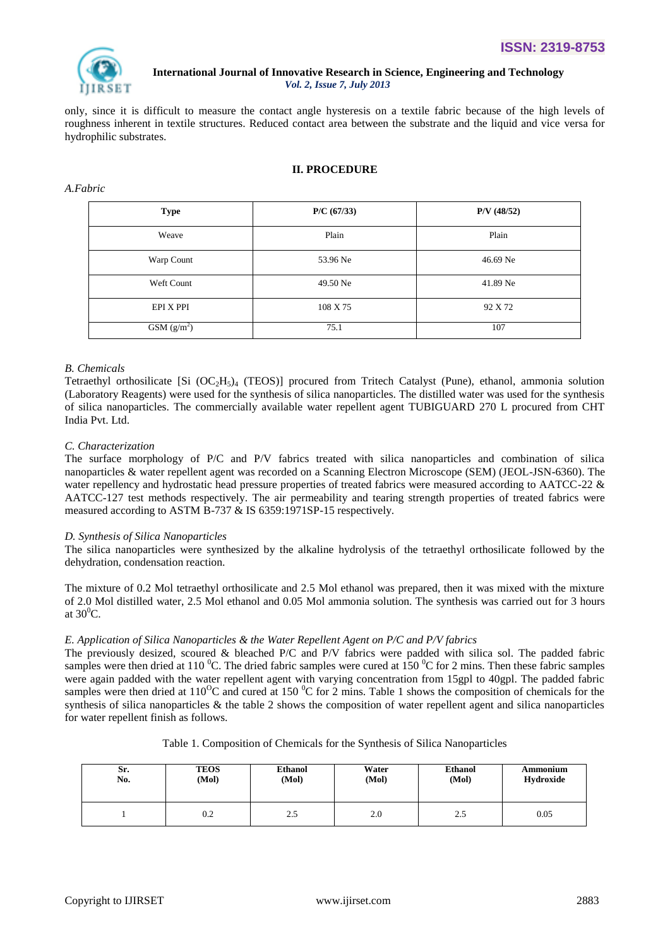

only, since it is difficult to measure the contact angle hysteresis on a textile fabric because of the high levels of roughness inherent in textile structures. Reduced contact area between the substrate and the liquid and vice versa for hydrophilic substrates.

# **II. PROCEDURE**

#### *A.Fabric*

| <b>Type</b>             | P/C (67/33) | $P/V$ (48/52) |
|-------------------------|-------------|---------------|
| Weave                   | Plain       | Plain         |
| Warp Count              | 53.96 Ne    | 46.69 Ne      |
| Weft Count              | 49.50 Ne    | 41.89 Ne      |
| EPI X PPI               | 108 X 75    | 92 X 72       |
| GSM (g/m <sup>2</sup> ) | 75.1        | 107           |

# *B. Chemicals*

Tetraethyl orthosilicate [Si  $(OC_2H_5)_4$  (TEOS)] procured from Tritech Catalyst (Pune), ethanol, ammonia solution (Laboratory Reagents) were used for the synthesis of silica nanoparticles. The distilled water was used for the synthesis of silica nanoparticles. The commercially available water repellent agent TUBIGUARD 270 L procured from CHT India Pvt. Ltd.

## *C. Characterization*

The surface morphology of P/C and P/V fabrics treated with silica nanoparticles and combination of silica nanoparticles & water repellent agent was recorded on a Scanning Electron Microscope (SEM) (JEOL-JSN-6360). The water repellency and hydrostatic head pressure properties of treated fabrics were measured according to AATCC-22  $\&$ AATCC-127 test methods respectively. The air permeability and tearing strength properties of treated fabrics were measured according to ASTM B-737 & IS 6359:1971SP-15 respectively.

## *D. Synthesis of Silica Nanoparticles*

The silica nanoparticles were synthesized by the alkaline hydrolysis of the tetraethyl orthosilicate followed by the dehydration, condensation reaction.

The mixture of 0.2 Mol tetraethyl orthosilicate and 2.5 Mol ethanol was prepared, then it was mixed with the mixture of 2.0 Mol distilled water, 2.5 Mol ethanol and 0.05 Mol ammonia solution. The synthesis was carried out for 3 hours at  $30^0$ C.

## *E. Application of Silica Nanoparticles & the Water Repellent Agent on P/C and P/V fabrics*

The previously desized, scoured & bleached P/C and P/V fabrics were padded with silica sol. The padded fabric samples were then dried at 110 <sup>o</sup>C. The dried fabric samples were cured at 150 <sup>o</sup>C for 2 mins. Then these fabric samples were again padded with the water repellent agent with varying concentration from 15gpl to 40gpl. The padded fabric samples were then dried at  $110^{\circ}$ C and cured at 150  $^{\circ}$ C for 2 mins. Table 1 shows the composition of chemicals for the synthesis of silica nanoparticles & the table 2 shows the composition of water repellent agent and silica nanoparticles for water repellent finish as follows.

## Table 1. Composition of Chemicals for the Synthesis of Silica Nanoparticles

| Sr. | <b>TEOS</b> | <b>Ethanol</b> | Water | <b>Ethanol</b> | Ammonium  |
|-----|-------------|----------------|-------|----------------|-----------|
| No. | (Mol)       | (Mol)          | (Mol) | (Mol)          | Hydroxide |
|     | 0.2         | 2.5            | 2.0   | 2.5            | 0.05      |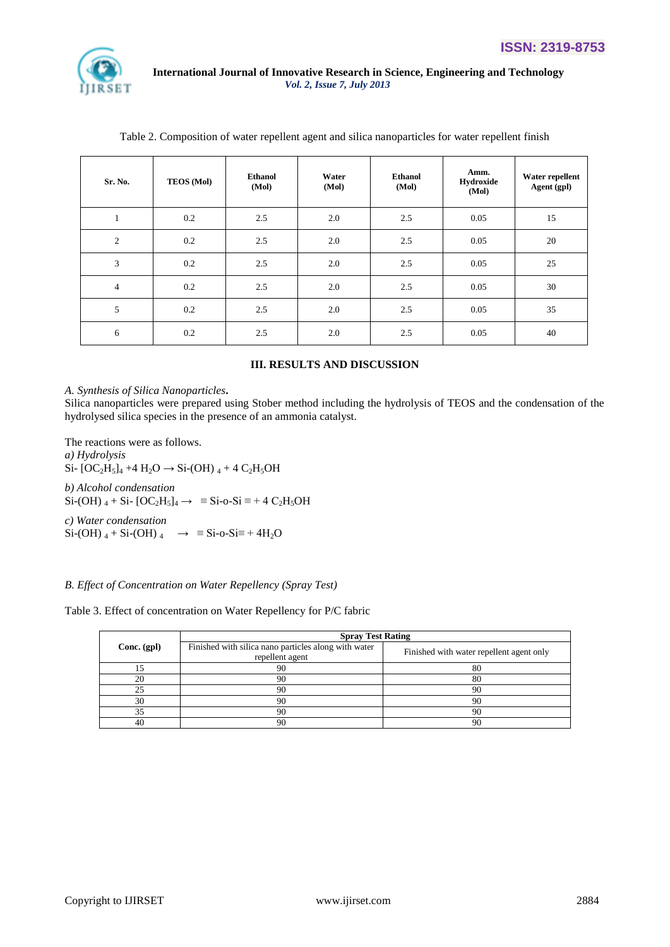

| Sr. No.        | <b>TEOS (Mol)</b> | <b>Ethanol</b><br>(Mol) | Water<br>(Mol) | <b>Ethanol</b><br>(Mol) | Amm.<br>Hydroxide<br>(Mol) | Water repellent<br>Agent (gpl) |
|----------------|-------------------|-------------------------|----------------|-------------------------|----------------------------|--------------------------------|
| 1              | 0.2               | 2.5                     | 2.0            | 2.5                     | 0.05                       | 15                             |
| $\overline{2}$ | 0.2               | 2.5                     | 2.0            | 2.5                     | 0.05                       | 20                             |
| 3              | 0.2               | 2.5                     | 2.0            | 2.5                     | 0.05                       | 25                             |
| $\overline{4}$ | 0.2               | 2.5                     | 2.0            | 2.5                     | 0.05                       | 30                             |
| 5              | 0.2               | 2.5                     | 2.0            | 2.5                     | 0.05                       | 35                             |
| 6              | 0.2               | 2.5                     | 2.0            | 2.5                     | 0.05                       | 40                             |

Table 2. Composition of water repellent agent and silica nanoparticles for water repellent finish

# **III. RESULTS AND DISCUSSION**

### *A. Synthesis of Silica Nanoparticles***.**

Silica nanoparticles were prepared using Stober method including the hydrolysis of TEOS and the condensation of the hydrolysed silica species in the presence of an ammonia catalyst.

The reactions were as follows. *a) Hydrolysis* Si-  $[OC_2H_5]_4$  +4  $H_2O \rightarrow$  Si-(OH)  $_4$  + 4  $C_2H_5OH$ *b) Alcohol condensation*   $Si-(OH)$  4 + Si-  $[OC<sub>2</sub>H<sub>5</sub>]<sub>4</sub> \rightarrow \equiv Si-o-Si \equiv +4 C<sub>2</sub>H<sub>5</sub>OH$ *c) Water condensation*   $Si-OH$ )  $_4 + Si-OH$ )  $_4 \rightarrow \equiv Si-O-Si\equiv +4H_2O$ 

# *B. Effect of Concentration on Water Repellency (Spray Test)*

Table 3. Effect of concentration on Water Repellency for P/C fabric

|               | <b>Spray Test Rating</b>                                                |                                          |  |  |
|---------------|-------------------------------------------------------------------------|------------------------------------------|--|--|
| $Conc.$ (gpl) | Finished with silica nano particles along with water<br>repellent agent | Finished with water repellent agent only |  |  |
|               | 90                                                                      | 80                                       |  |  |
| 20            | 90                                                                      | 80                                       |  |  |
| 25            | 90                                                                      | 90                                       |  |  |
| 30            | 90                                                                      | 90                                       |  |  |
| 35            | 90                                                                      | 90                                       |  |  |
| 40            | 90                                                                      | 90                                       |  |  |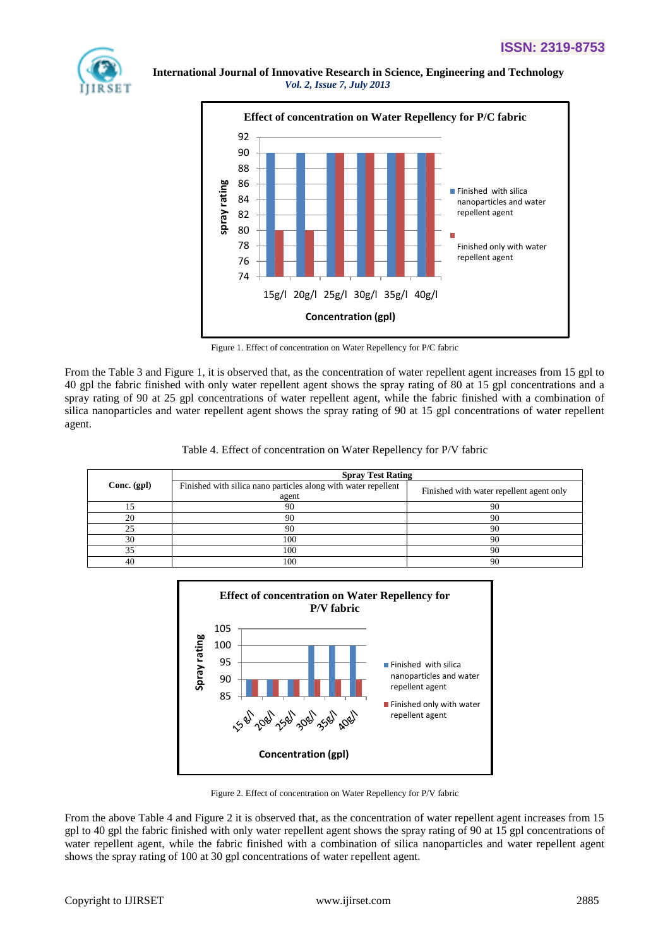



Figure 1. Effect of concentration on Water Repellency for P/C fabric

From the Table 3 and Figure 1, it is observed that, as the concentration of water repellent agent increases from 15 gpl to 40 gpl the fabric finished with only water repellent agent shows the spray rating of 80 at 15 gpl concentrations and a spray rating of 90 at 25 gpl concentrations of water repellent agent, while the fabric finished with a combination of silica nanoparticles and water repellent agent shows the spray rating of 90 at 15 gpl concentrations of water repellent agent.

|               | <b>Spray Test Rating</b>                                                |                                          |  |  |  |
|---------------|-------------------------------------------------------------------------|------------------------------------------|--|--|--|
| Conc. $(gpl)$ | Finished with silica nano particles along with water repellent<br>agent | Finished with water repellent agent only |  |  |  |
|               | 90                                                                      | 90                                       |  |  |  |
| 20            | 90                                                                      | 90                                       |  |  |  |
| 25            | 90                                                                      | 90                                       |  |  |  |
| 30            | 100                                                                     | 90                                       |  |  |  |
| 35            | 100                                                                     | 90                                       |  |  |  |
| 40            | 100                                                                     | 90                                       |  |  |  |

![](_page_3_Figure_8.jpeg)

Figure 2. Effect of concentration on Water Repellency for P/V fabric

From the above Table 4 and Figure 2 it is observed that, as the concentration of water repellent agent increases from 15 gpl to 40 gpl the fabric finished with only water repellent agent shows the spray rating of 90 at 15 gpl concentrations of water repellent agent, while the fabric finished with a combination of silica nanoparticles and water repellent agent shows the spray rating of 100 at 30 gpl concentrations of water repellent agent.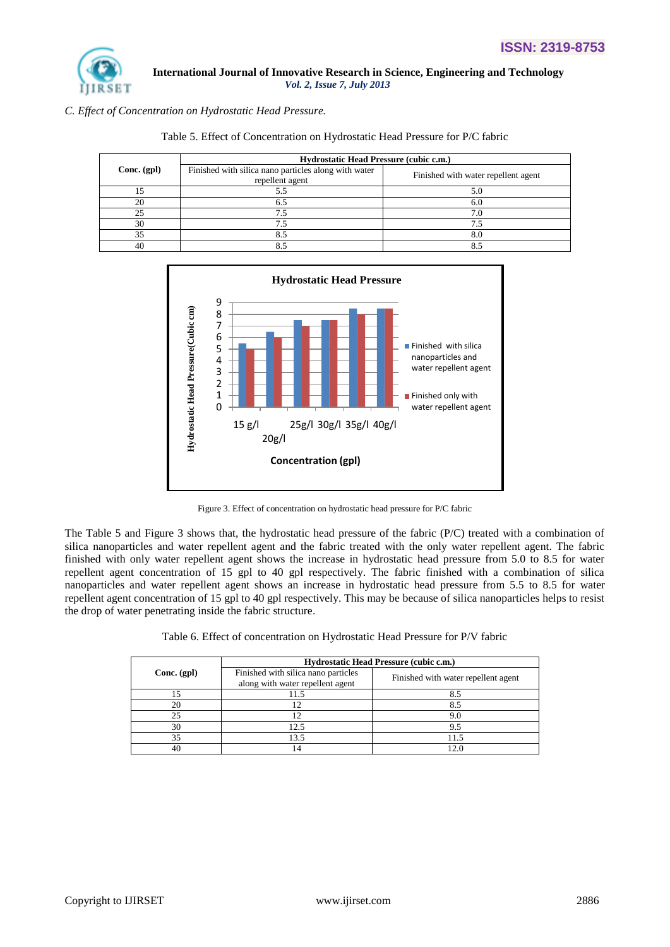![](_page_4_Picture_1.jpeg)

*C. Effect of Concentration on Hydrostatic Head Pressure.*

| Hydrostatic Head Pressure (cubic c.m.) |                                                                         |                                     |  |
|----------------------------------------|-------------------------------------------------------------------------|-------------------------------------|--|
| $Conc.$ (gpl)                          | Finished with silica nano particles along with water<br>repellent agent | Finished with water repellent agent |  |
|                                        |                                                                         |                                     |  |
| 20                                     |                                                                         | 6.0                                 |  |
| 25                                     |                                                                         | 7.0                                 |  |
| 30                                     |                                                                         |                                     |  |
| 35                                     |                                                                         |                                     |  |
| 40                                     |                                                                         |                                     |  |

Table 5. Effect of Concentration on Hydrostatic Head Pressure for P/C fabric

![](_page_4_Figure_6.jpeg)

Figure 3. Effect of concentration on hydrostatic head pressure for P/C fabric

The Table 5 and Figure 3 shows that, the hydrostatic head pressure of the fabric (P/C) treated with a combination of silica nanoparticles and water repellent agent and the fabric treated with the only water repellent agent. The fabric finished with only water repellent agent shows the increase in hydrostatic head pressure from 5.0 to 8.5 for water repellent agent concentration of 15 gpl to 40 gpl respectively. The fabric finished with a combination of silica nanoparticles and water repellent agent shows an increase in hydrostatic head pressure from 5.5 to 8.5 for water repellent agent concentration of 15 gpl to 40 gpl respectively. This may be because of silica nanoparticles helps to resist the drop of water penetrating inside the fabric structure.

|             | Hydrostatic Head Pressure (cubic c.m.)                                  |                                     |  |  |
|-------------|-------------------------------------------------------------------------|-------------------------------------|--|--|
| Conc. (gpl) | Finished with silica nano particles<br>along with water repellent agent | Finished with water repellent agent |  |  |
| 15          | 11.5                                                                    |                                     |  |  |
| 20          |                                                                         | 8.5                                 |  |  |
| 25          |                                                                         | 9.0                                 |  |  |
| 30          | 12.5                                                                    | 9.5                                 |  |  |
| 35          | 13.5                                                                    | 11.5                                |  |  |
| 40          |                                                                         |                                     |  |  |

|  |  | Table 6. Effect of concentration on Hydrostatic Head Pressure for P/V fabric |  |  |
|--|--|------------------------------------------------------------------------------|--|--|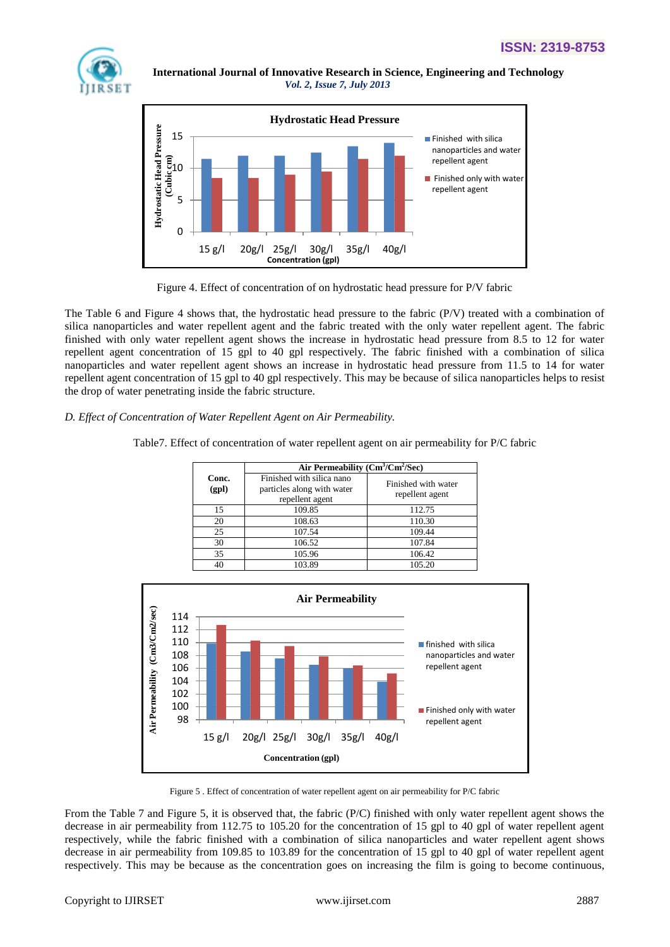![](_page_5_Picture_1.jpeg)

![](_page_5_Figure_3.jpeg)

![](_page_5_Figure_4.jpeg)

The Table 6 and Figure 4 shows that, the hydrostatic head pressure to the fabric (P/V) treated with a combination of silica nanoparticles and water repellent agent and the fabric treated with the only water repellent agent. The fabric finished with only water repellent agent shows the increase in hydrostatic head pressure from 8.5 to 12 for water repellent agent concentration of 15 gpl to 40 gpl respectively. The fabric finished with a combination of silica nanoparticles and water repellent agent shows an increase in hydrostatic head pressure from 11.5 to 14 for water repellent agent concentration of 15 gpl to 40 gpl respectively. This may be because of silica nanoparticles helps to resist the drop of water penetrating inside the fabric structure.

# *D. Effect of Concentration of Water Repellent Agent on Air Permeability.*

Table7. Effect of concentration of water repellent agent on air permeability for P/C fabric

|                | Air Permeability $(Cm^3/Cm^2/Sec)$                                         |                                        |
|----------------|----------------------------------------------------------------------------|----------------------------------------|
| Conc.<br>(gpl) | Finished with silica nano<br>particles along with water<br>repellent agent | Finished with water<br>repellent agent |
| 15             | 109.85                                                                     | 112.75                                 |
| 20             | 108.63                                                                     | 110.30                                 |
| 25             | 107.54                                                                     | 109.44                                 |
| 30             | 106.52                                                                     | 107.84                                 |
| 35             | 105.96                                                                     | 106.42                                 |
| 40             | 103.89                                                                     | 105.20                                 |

![](_page_5_Figure_9.jpeg)

Figure 5 . Effect of concentration of water repellent agent on air permeability for P/C fabric

From the Table 7 and Figure 5, it is observed that, the fabric (P/C) finished with only water repellent agent shows the decrease in air permeability from 112.75 to 105.20 for the concentration of 15 gpl to 40 gpl of water repellent agent respectively, while the fabric finished with a combination of silica nanoparticles and water repellent agent shows decrease in air permeability from 109.85 to 103.89 for the concentration of 15 gpl to 40 gpl of water repellent agent respectively. This may be because as the concentration goes on increasing the film is going to become continuous,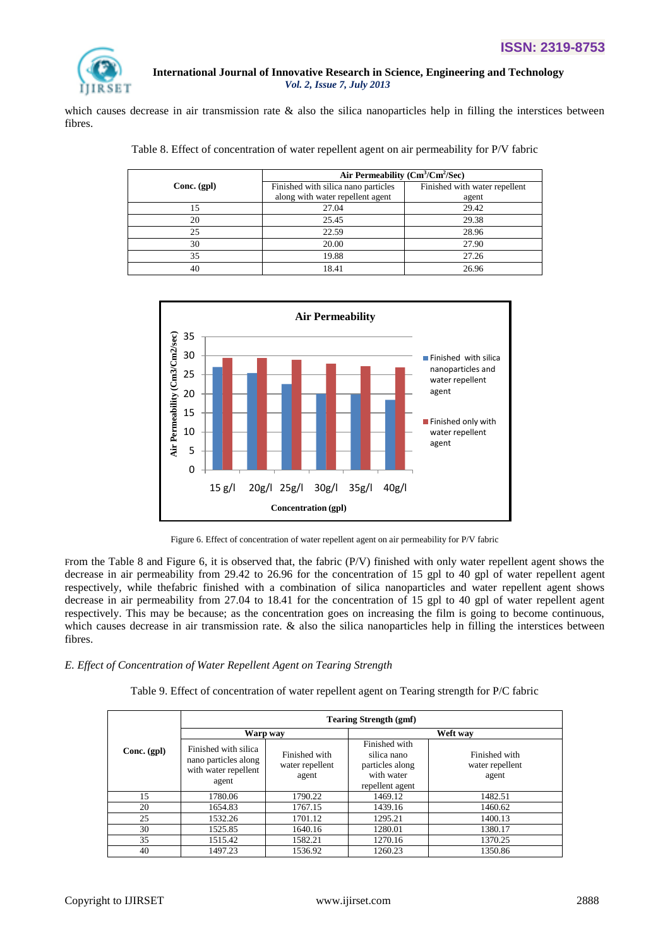![](_page_6_Picture_1.jpeg)

which causes decrease in air transmission rate  $\&$  also the silica nanoparticles help in filling the interstices between fibres.

| Table 8. Effect of concentration of water repellent agent on air permeability for P/V fabric |  |  |
|----------------------------------------------------------------------------------------------|--|--|
|----------------------------------------------------------------------------------------------|--|--|

|               | Air Permeability $(Cm^3/Cm^2/Sec)$  |                               |  |  |
|---------------|-------------------------------------|-------------------------------|--|--|
| $Conc.$ (gpl) | Finished with silica nano particles | Finished with water repellent |  |  |
|               | along with water repellent agent    | agent                         |  |  |
| 5             | 27.04                               | 29.42                         |  |  |
| 20            | 25.45                               | 29.38                         |  |  |
| 25            | 22.59                               | 28.96                         |  |  |
| 30            | 20.00                               | 27.90                         |  |  |
| 35            | 19.88                               | 27.26                         |  |  |
| 40            | 18.41                               | 26.96                         |  |  |

![](_page_6_Figure_6.jpeg)

Figure 6. Effect of concentration of water repellent agent on air permeability for P/V fabric

From the Table 8 and Figure 6, it is observed that, the fabric (P/V) finished with only water repellent agent shows the decrease in air permeability from 29.42 to 26.96 for the concentration of 15 gpl to 40 gpl of water repellent agent respectively, while thefabric finished with a combination of silica nanoparticles and water repellent agent shows decrease in air permeability from 27.04 to 18.41 for the concentration of 15 gpl to 40 gpl of water repellent agent respectively. This may be because; as the concentration goes on increasing the film is going to become continuous, which causes decrease in air transmission rate. & also the silica nanoparticles help in filling the interstices between fibres.

## *E. Effect of Concentration of Water Repellent Agent on Tearing Strength*

| Table 9. Effect of concentration of water repellent agent on Tearing strength for P/C fabric |  |  |
|----------------------------------------------------------------------------------------------|--|--|
|----------------------------------------------------------------------------------------------|--|--|

|             | <b>Tearing Strength (gmf)</b>                                                 |                                           |                                                                                  |                                           |  |
|-------------|-------------------------------------------------------------------------------|-------------------------------------------|----------------------------------------------------------------------------------|-------------------------------------------|--|
|             | Warp way                                                                      |                                           | Weft way                                                                         |                                           |  |
| Conc. (gpl) | Finished with silica<br>nano particles along<br>with water repellent<br>agent | Finished with<br>water repellent<br>agent | Finished with<br>silica nano<br>particles along<br>with water<br>repellent agent | Finished with<br>water repellent<br>agent |  |
| 15          | 1780.06                                                                       | 1790.22                                   | 1469.12                                                                          | 1482.51                                   |  |
| 20          | 1654.83                                                                       | 1767.15                                   | 1439.16                                                                          | 1460.62                                   |  |
| 25          | 1532.26                                                                       | 1701.12                                   | 1295.21                                                                          | 1400.13                                   |  |
| 30          | 1525.85                                                                       | 1640.16                                   | 1280.01                                                                          | 1380.17                                   |  |
| 35          | 1515.42                                                                       | 1582.21                                   | 1270.16                                                                          | 1370.25                                   |  |
| 40          | 1497.23                                                                       | 1536.92                                   | 1260.23                                                                          | 1350.86                                   |  |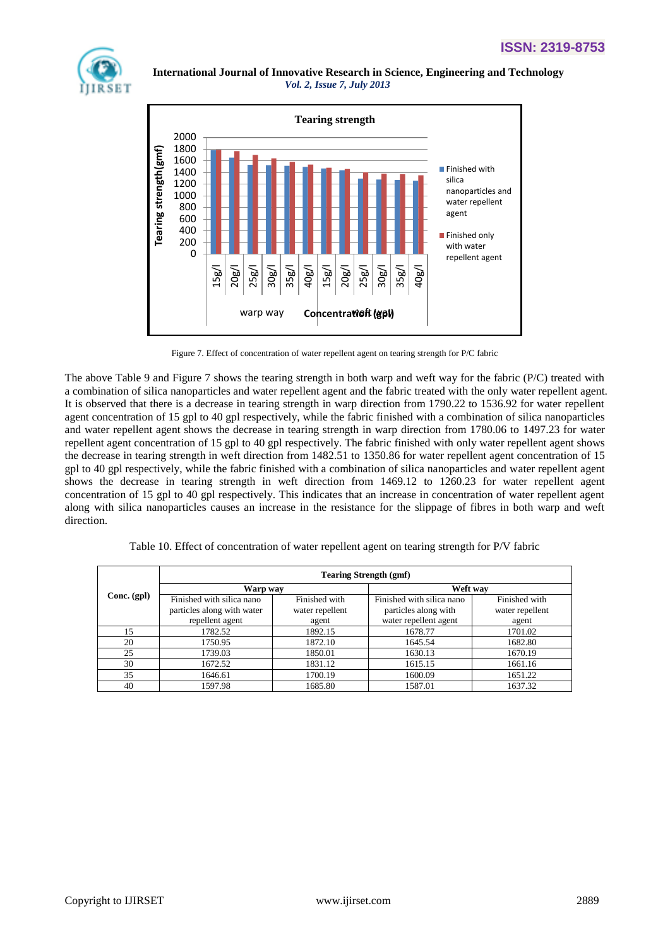![](_page_7_Picture_1.jpeg)

![](_page_7_Figure_3.jpeg)

Figure 7. Effect of concentration of water repellent agent on tearing strength for P/C fabric

The above Table 9 and Figure 7 shows the tearing strength in both warp and weft way for the fabric (P/C) treated with a combination of silica nanoparticles and water repellent agent and the fabric treated with the only water repellent agent. It is observed that there is a decrease in tearing strength in warp direction from 1790.22 to 1536.92 for water repellent agent concentration of 15 gpl to 40 gpl respectively, while the fabric finished with a combination of silica nanoparticles and water repellent agent shows the decrease in tearing strength in warp direction from 1780.06 to 1497.23 for water repellent agent concentration of 15 gpl to 40 gpl respectively. The fabric finished with only water repellent agent shows the decrease in tearing strength in weft direction from 1482.51 to 1350.86 for water repellent agent concentration of 15 gpl to 40 gpl respectively, while the fabric finished with a combination of silica nanoparticles and water repellent agent shows the decrease in tearing strength in weft direction from 1469.12 to 1260.23 for water repellent agent concentration of 15 gpl to 40 gpl respectively. This indicates that an increase in concentration of water repellent agent along with silica nanoparticles causes an increase in the resistance for the slippage of fibres in both warp and weft direction.

|             | <b>Tearing Strength (gmf)</b> |                 |                           |                 |  |  |
|-------------|-------------------------------|-----------------|---------------------------|-----------------|--|--|
| Conc. (gpl) | Warp way                      |                 | Weft way                  |                 |  |  |
|             | Finished with silica nano     | Finished with   | Finished with silica nano | Finished with   |  |  |
|             | particles along with water    | water repellent | particles along with      | water repellent |  |  |
|             | repellent agent               | agent           | water repellent agent     | agent           |  |  |
| 15          | 1782.52                       | 1892.15         | 1678.77                   | 1701.02         |  |  |
| 20          | 1750.95                       | 1872.10         | 1645.54                   | 1682.80         |  |  |
| 25          | 1739.03                       | 1850.01         | 1630.13                   | 1670.19         |  |  |
| 30          | 1672.52                       | 1831.12         | 1615.15                   | 1661.16         |  |  |
| 35          | 1646.61                       | 1700.19         | 1600.09                   | 1651.22         |  |  |
| 40          | 1597.98                       | 1685.80         | 1587.01                   | 1637.32         |  |  |

Г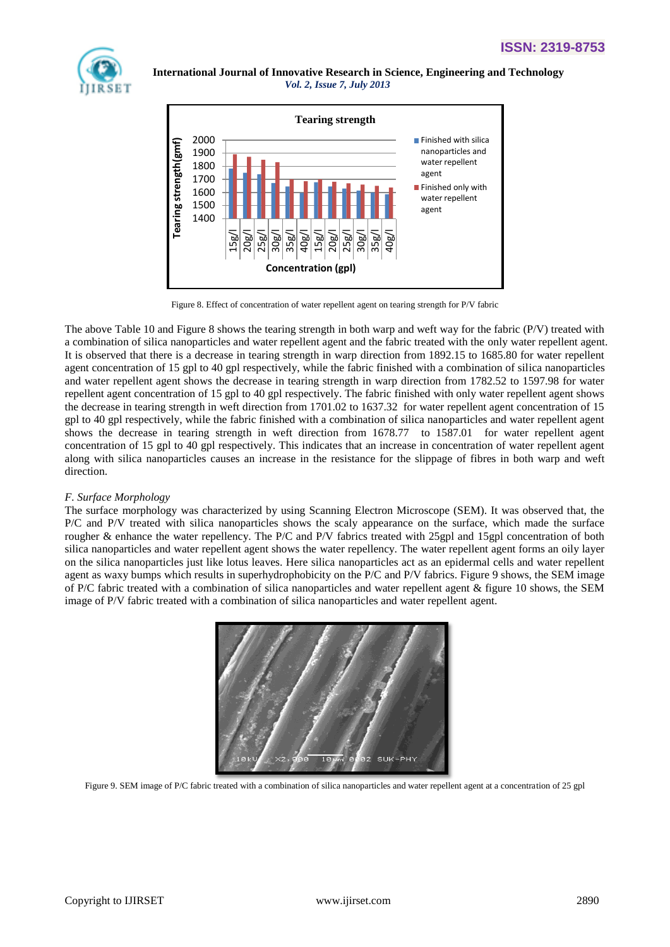![](_page_8_Picture_1.jpeg)

![](_page_8_Figure_3.jpeg)

Figure 8. Effect of concentration of water repellent agent on tearing strength for P/V fabric

The above Table 10 and Figure 8 shows the tearing strength in both warp and weft way for the fabric (P/V) treated with a combination of silica nanoparticles and water repellent agent and the fabric treated with the only water repellent agent. It is observed that there is a decrease in tearing strength in warp direction from 1892.15 to 1685.80 for water repellent agent concentration of 15 gpl to 40 gpl respectively, while the fabric finished with a combination of silica nanoparticles and water repellent agent shows the decrease in tearing strength in warp direction from 1782.52 to 1597.98 for water repellent agent concentration of 15 gpl to 40 gpl respectively. The fabric finished with only water repellent agent shows the decrease in tearing strength in weft direction from 1701.02 to 1637.32 for water repellent agent concentration of 15 gpl to 40 gpl respectively, while the fabric finished with a combination of silica nanoparticles and water repellent agent shows the decrease in tearing strength in weft direction from 1678.77 to 1587.01 for water repellent agent concentration of 15 gpl to 40 gpl respectively. This indicates that an increase in concentration of water repellent agent along with silica nanoparticles causes an increase in the resistance for the slippage of fibres in both warp and weft direction.

## *F. Surface Morphology*

The surface morphology was characterized by using Scanning Electron Microscope (SEM). It was observed that, the P/C and P/V treated with silica nanoparticles shows the scaly appearance on the surface, which made the surface rougher & enhance the water repellency. The P/C and P/V fabrics treated with 25gpl and 15gpl concentration of both silica nanoparticles and water repellent agent shows the water repellency. The water repellent agent forms an oily layer on the silica nanoparticles just like lotus leaves. Here silica nanoparticles act as an epidermal cells and water repellent agent as waxy bumps which results in superhydrophobicity on the P/C and P/V fabrics. Figure 9 shows, the SEM image of P/C fabric treated with a combination of silica nanoparticles and water repellent agent & figure 10 shows, the SEM image of P/V fabric treated with a combination of silica nanoparticles and water repellent agent.

![](_page_8_Picture_8.jpeg)

Figure 9. SEM image of P/C fabric treated with a combination of silica nanoparticles and water repellent agent at a concentration of 25 gpl